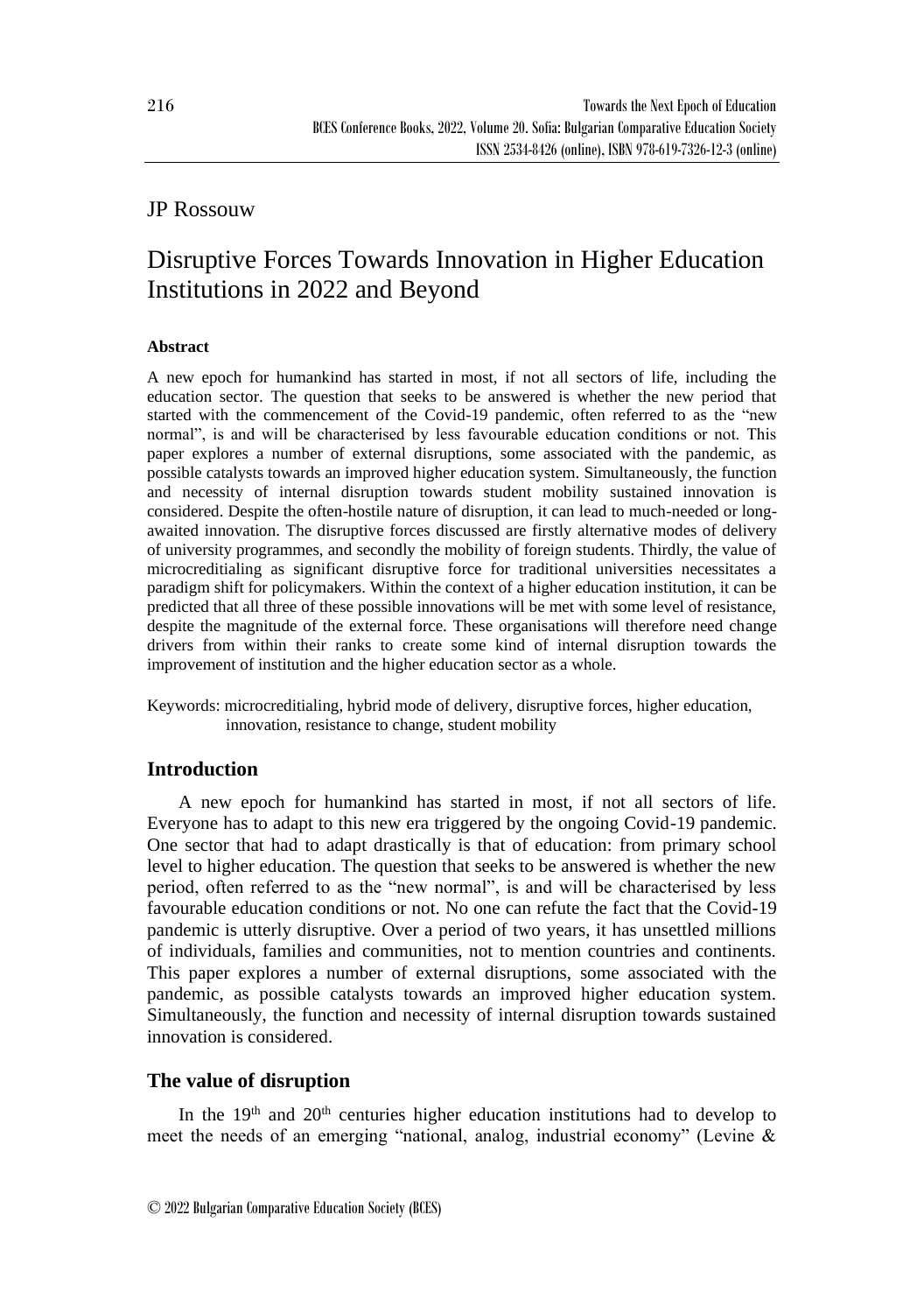## JP Rossouw

# Disruptive Forces Towards Innovation in Higher Education Institutions in 2022 and Beyond

## **Abstract**

A new epoch for humankind has started in most, if not all sectors of life, including the education sector. The question that seeks to be answered is whether the new period that started with the commencement of the Covid-19 pandemic, often referred to as the "new normal", is and will be characterised by less favourable education conditions or not. This paper explores a number of external disruptions, some associated with the pandemic, as possible catalysts towards an improved higher education system. Simultaneously, the function and necessity of internal disruption towards student mobility sustained innovation is considered. Despite the often-hostile nature of disruption, it can lead to much-needed or longawaited innovation. The disruptive forces discussed are firstly alternative modes of delivery of university programmes, and secondly the mobility of foreign students. Thirdly, the value of microcreditialing as significant disruptive force for traditional universities necessitates a paradigm shift for policymakers. Within the context of a higher education institution, it can be predicted that all three of these possible innovations will be met with some level of resistance, despite the magnitude of the external force. These organisations will therefore need change drivers from within their ranks to create some kind of internal disruption towards the improvement of institution and the higher education sector as a whole.

Keywords: microcreditialing, hybrid mode of delivery, disruptive forces, higher education, innovation, resistance to change, student mobility

## **Introduction**

A new epoch for humankind has started in most, if not all sectors of life. Everyone has to adapt to this new era triggered by the ongoing Covid-19 pandemic. One sector that had to adapt drastically is that of education: from primary school level to higher education. The question that seeks to be answered is whether the new period, often referred to as the "new normal", is and will be characterised by less favourable education conditions or not. No one can refute the fact that the Covid-19 pandemic is utterly disruptive. Over a period of two years, it has unsettled millions of individuals, families and communities, not to mention countries and continents. This paper explores a number of external disruptions, some associated with the pandemic, as possible catalysts towards an improved higher education system. Simultaneously, the function and necessity of internal disruption towards sustained innovation is considered.

## **The value of disruption**

In the 19<sup>th</sup> and 20<sup>th</sup> centuries higher education institutions had to develop to meet the needs of an emerging "national, analog, industrial economy" (Levine &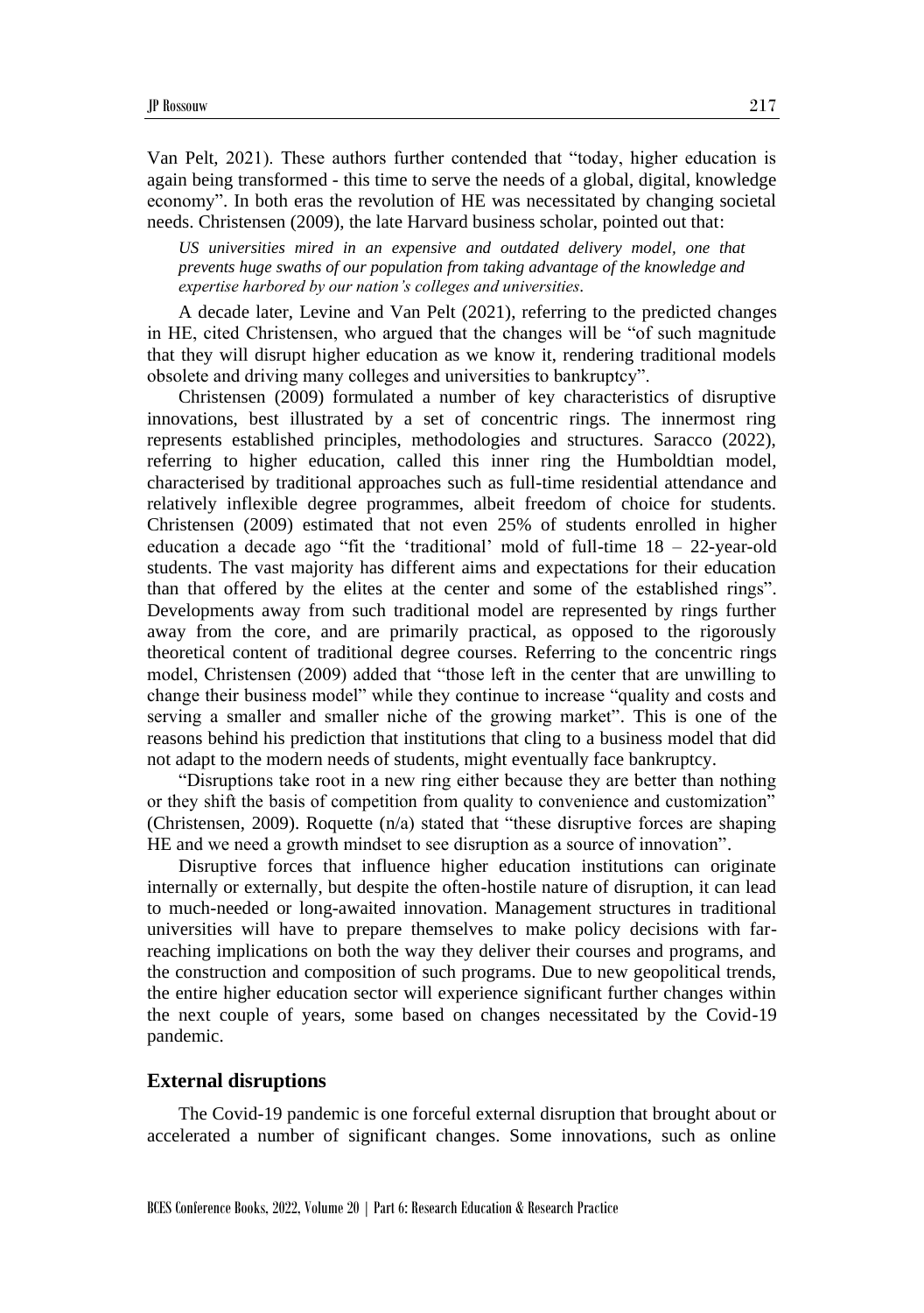Van Pelt, 2021). These authors further contended that "today, higher education is again being transformed - this time to serve the needs of a global, digital, knowledge economy". In both eras the revolution of HE was necessitated by changing societal needs. Christensen (2009), the late Harvard business scholar, pointed out that:

*US universities mired in an expensive and outdated delivery model, one that prevents huge swaths of our population from taking advantage of the knowledge and expertise harbored by our nation's colleges and universities.*

A decade later, Levine and Van Pelt (2021), referring to the predicted changes in HE, cited Christensen, who argued that the changes will be "of such magnitude that they will disrupt higher education as we know it, rendering traditional models obsolete and driving many colleges and universities to bankruptcy".

Christensen (2009) formulated a number of key characteristics of disruptive innovations, best illustrated by a set of concentric rings. The innermost ring represents established principles, methodologies and structures. Saracco (2022), referring to higher education, called this inner ring the Humboldtian model, characterised by traditional approaches such as full-time residential attendance and relatively inflexible degree programmes, albeit freedom of choice for students. Christensen (2009) estimated that not even 25% of students enrolled in higher education a decade ago "fit the 'traditional' mold of full-time  $18 - 22$ -year-old students. The vast majority has different aims and expectations for their education than that offered by the elites at the center and some of the established rings". Developments away from such traditional model are represented by rings further away from the core, and are primarily practical, as opposed to the rigorously theoretical content of traditional degree courses. Referring to the concentric rings model, Christensen (2009) added that "those left in the center that are unwilling to change their business model" while they continue to increase "quality and costs and serving a smaller and smaller niche of the growing market". This is one of the reasons behind his prediction that institutions that cling to a business model that did not adapt to the modern needs of students, might eventually face bankruptcy.

"Disruptions take root in a new ring either because they are better than nothing or they shift the basis of competition from quality to convenience and customization" (Christensen, 2009). Roquette (n/a) stated that "these disruptive forces are shaping HE and we need a growth mindset to see disruption as a source of innovation".

Disruptive forces that influence higher education institutions can originate internally or externally, but despite the often-hostile nature of disruption, it can lead to much-needed or long-awaited innovation. Management structures in traditional universities will have to prepare themselves to make policy decisions with farreaching implications on both the way they deliver their courses and programs, and the construction and composition of such programs. Due to new geopolitical trends, the entire higher education sector will experience significant further changes within the next couple of years, some based on changes necessitated by the Covid-19 pandemic.

#### **External disruptions**

The Covid-19 pandemic is one forceful external disruption that brought about or accelerated a number of significant changes. Some innovations, such as online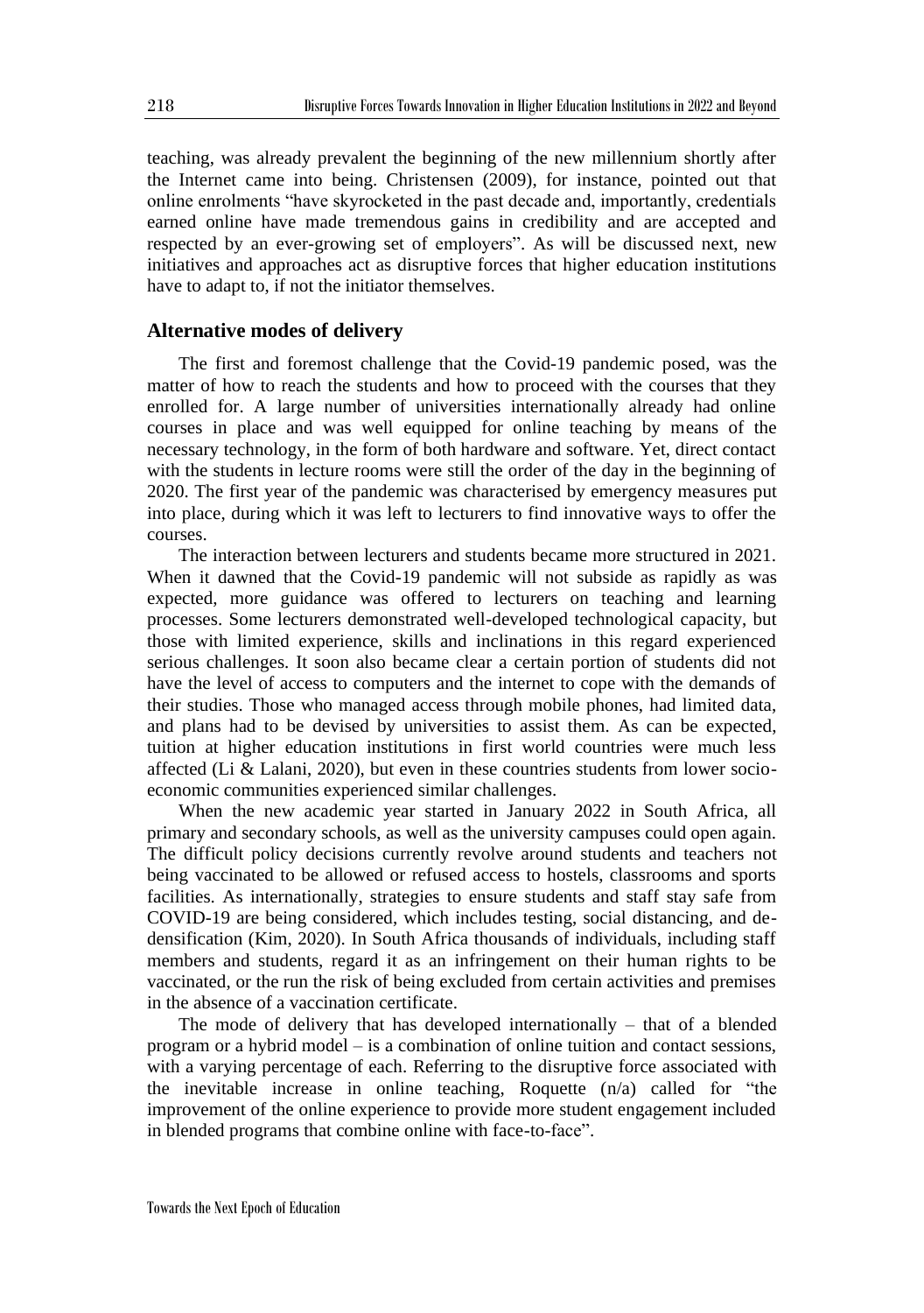teaching, was already prevalent the beginning of the new millennium shortly after the Internet came into being. Christensen (2009), for instance, pointed out that online enrolments "have skyrocketed in the past decade and, importantly, credentials earned online have made tremendous gains in credibility and are accepted and respected by an ever-growing set of employers". As will be discussed next, new initiatives and approaches act as disruptive forces that higher education institutions have to adapt to, if not the initiator themselves.

#### **Alternative modes of delivery**

The first and foremost challenge that the Covid-19 pandemic posed, was the matter of how to reach the students and how to proceed with the courses that they enrolled for. A large number of universities internationally already had online courses in place and was well equipped for online teaching by means of the necessary technology, in the form of both hardware and software. Yet, direct contact with the students in lecture rooms were still the order of the day in the beginning of 2020. The first year of the pandemic was characterised by emergency measures put into place, during which it was left to lecturers to find innovative ways to offer the courses.

The interaction between lecturers and students became more structured in 2021. When it dawned that the Covid-19 pandemic will not subside as rapidly as was expected, more guidance was offered to lecturers on teaching and learning processes. Some lecturers demonstrated well-developed technological capacity, but those with limited experience, skills and inclinations in this regard experienced serious challenges. It soon also became clear a certain portion of students did not have the level of access to computers and the internet to cope with the demands of their studies. Those who managed access through mobile phones, had limited data, and plans had to be devised by universities to assist them. As can be expected, tuition at higher education institutions in first world countries were much less affected (Li & Lalani, 2020), but even in these countries students from lower socioeconomic communities experienced similar challenges.

When the new academic year started in January 2022 in South Africa, all primary and secondary schools, as well as the university campuses could open again. The difficult policy decisions currently revolve around students and teachers not being vaccinated to be allowed or refused access to hostels, classrooms and sports facilities. As internationally, strategies to ensure students and staff stay safe from COVID-19 are being considered, which includes testing, social distancing, and dedensification (Kim, 2020). In South Africa thousands of individuals, including staff members and students, regard it as an infringement on their human rights to be vaccinated, or the run the risk of being excluded from certain activities and premises in the absence of a vaccination certificate.

The mode of delivery that has developed internationally – that of a blended program or a hybrid model – is a combination of online tuition and contact sessions, with a varying percentage of each. Referring to the disruptive force associated with the inevitable increase in online teaching, Roquette  $(n/a)$  called for "the improvement of the online experience to provide more student engagement included in blended programs that combine online with face-to-face".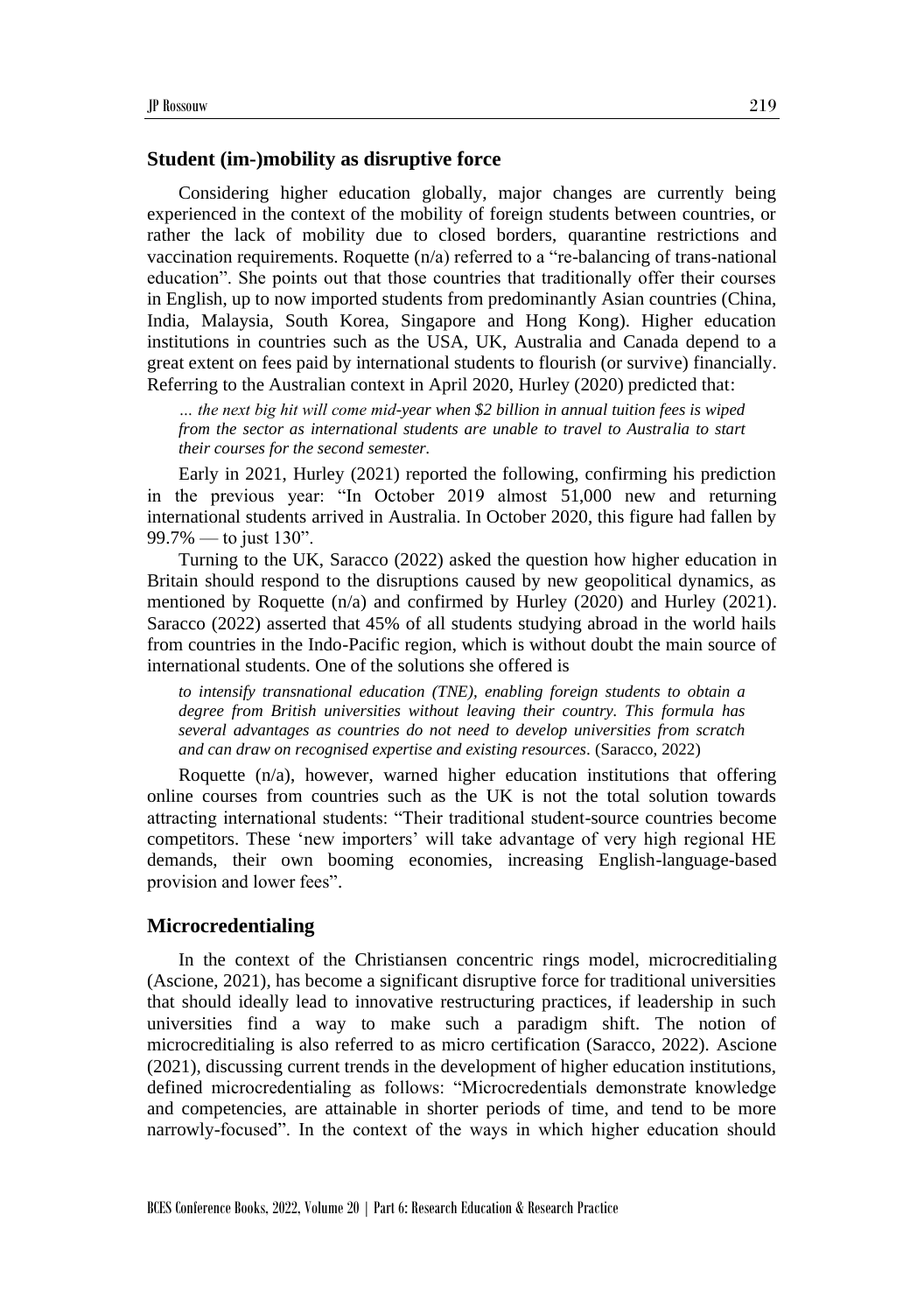#### **Student (im-)mobility as disruptive force**

Considering higher education globally, major changes are currently being experienced in the context of the mobility of foreign students between countries, or rather the lack of mobility due to closed borders, quarantine restrictions and vaccination requirements. Roquette (n/a) referred to a "re-balancing of trans-national education". She points out that those countries that traditionally offer their courses in English, up to now imported students from predominantly Asian countries (China, India, Malaysia, South Korea, Singapore and Hong Kong). Higher education institutions in countries such as the USA, UK, Australia and Canada depend to a great extent on fees paid by international students to flourish (or survive) financially. Referring to the Australian context in April 2020, Hurley (2020) predicted that:

*… the next big hit will come mid-year when \$2 billion in annual tuition fees is wiped from the sector as international students are unable to travel to Australia to start their courses for the second semester.*

Early in 2021, Hurley (2021) reported the following, confirming his prediction in the previous year: "In October 2019 almost [51,000 new and returning](https://www.abs.gov.au/statistics/industry/tourism-and-transport/overseas-arrivals-and-departures-australia/latest-release#arrivals-international-students)  [international students](https://www.abs.gov.au/statistics/industry/tourism-and-transport/overseas-arrivals-and-departures-australia/latest-release#arrivals-international-students) arrived in Australia. In October 2020, this figure had fallen by 99.7% — to just 130".

Turning to the UK, Saracco (2022) asked the question how higher education in Britain should respond to the disruptions caused by new geopolitical dynamics, as mentioned by Roquette  $(n/a)$  and confirmed by Hurley (2020) and Hurley (2021). Saracco (2022) asserted that 45% of all students studying abroad in the world hails from countries in the Indo-Pacific region, which is without doubt the main source of international students. One of the solutions she offered is

*to intensify transnational education (TNE), enabling foreign students to obtain a degree from British universities without leaving their country. This formula has several advantages as countries do not need to develop universities from scratch and can draw on recognised expertise and existing resources.* (Saracco, 2022)

Roquette (n/a), however, warned higher education institutions that offering online courses from countries such as the UK is not the total solution towards attracting international students: "Their traditional student-source countries become competitors. These 'new importers' will take advantage of very high regional HE demands, their own booming economies, increasing English-language-based provision and lower fees".

#### **Microcredentialing**

In the context of the Christiansen concentric rings model, microcreditialing (Ascione, 2021), has become a significant disruptive force for traditional universities that should ideally lead to innovative restructuring practices, if leadership in such universities find a way to make such a paradigm shift. The notion of microcreditialing is also referred to as micro certification (Saracco, 2022). Ascione (2021), discussing current trends in the development of higher education institutions, defined microcredentialing as follows: "Microcredentials demonstrate knowledge and competencies, are attainable in shorter periods of time, and tend to be more narrowly-focused". In the context of the ways in which higher education should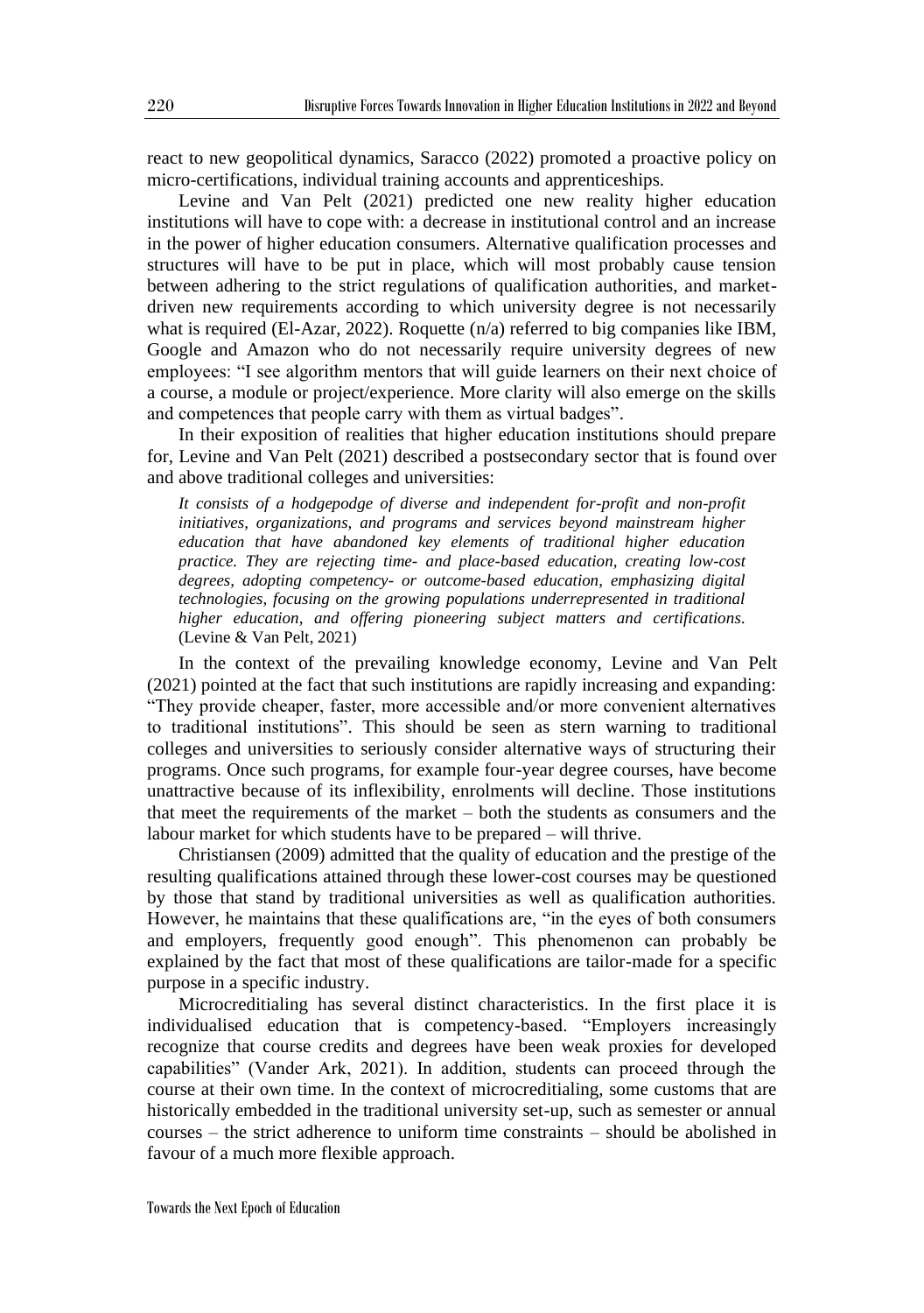react to new geopolitical dynamics, Saracco (2022) promoted a proactive policy on micro-certifications, individual training accounts and apprenticeships.

Levine and Van Pelt (2021) predicted one new reality higher education institutions will have to cope with: a decrease in institutional control and an increase in the power of higher education consumers. Alternative qualification processes and structures will have to be put in place, which will most probably cause tension between adhering to the strict regulations of qualification authorities, and marketdriven new requirements according to which university degree is not necessarily what is required (El-Azar, 2022). Roquette (n/a) referred to big companies like IBM, Google and Amazon who do not necessarily require university degrees of new employees: "I see algorithm mentors that will guide learners on their next choice of a course, a module or project/experience. More clarity will also emerge on the skills and competences that people carry with them as virtual badges".

In their exposition of realities that higher education institutions should prepare for, Levine and Van Pelt (2021) described a postsecondary sector that is found over and above traditional colleges and universities:

*It consists of a hodgepodge of diverse and independent for-profit and non-profit initiatives, organizations, and programs and services beyond mainstream higher education that have abandoned key elements of traditional higher education practice. They are rejecting time- and place-based education, creating low-cost degrees, adopting competency- or outcome-based education, emphasizing digital technologies, focusing on the growing populations underrepresented in traditional higher education, and offering pioneering subject matters and certifications.* (Levine & Van Pelt, 2021)

In the context of the prevailing knowledge economy, Levine and Van Pelt (2021) pointed at the fact that such institutions are rapidly increasing and expanding: "They provide cheaper, faster, more accessible and/or more convenient alternatives to traditional institutions". This should be seen as stern warning to traditional colleges and universities to seriously consider alternative ways of structuring their programs. Once such programs, for example four-year degree courses, have become unattractive because of its inflexibility, enrolments will decline. Those institutions that meet the requirements of the market – both the students as consumers and the labour market for which students have to be prepared – will thrive.

Christiansen (2009) admitted that the quality of education and the prestige of the resulting qualifications attained through these lower-cost courses may be questioned by those that stand by traditional universities as well as qualification authorities. However, he maintains that these qualifications are, "in the eyes of both consumers and employers, frequently good enough". This phenomenon can probably be explained by the fact that most of these qualifications are tailor-made for a specific purpose in a specific industry.

Microcreditialing has several distinct characteristics. In the first place it is individualised education that is competency-based. "Employers increasingly recognize that course credits and degrees have been weak proxies for developed capabilities" (Vander Ark, 2021). In addition, students can proceed through the course at their own time. In the context of microcreditialing, some customs that are historically embedded in the traditional university set-up, such as semester or annual courses – the strict adherence to uniform time constraints – should be abolished in favour of a much more flexible approach.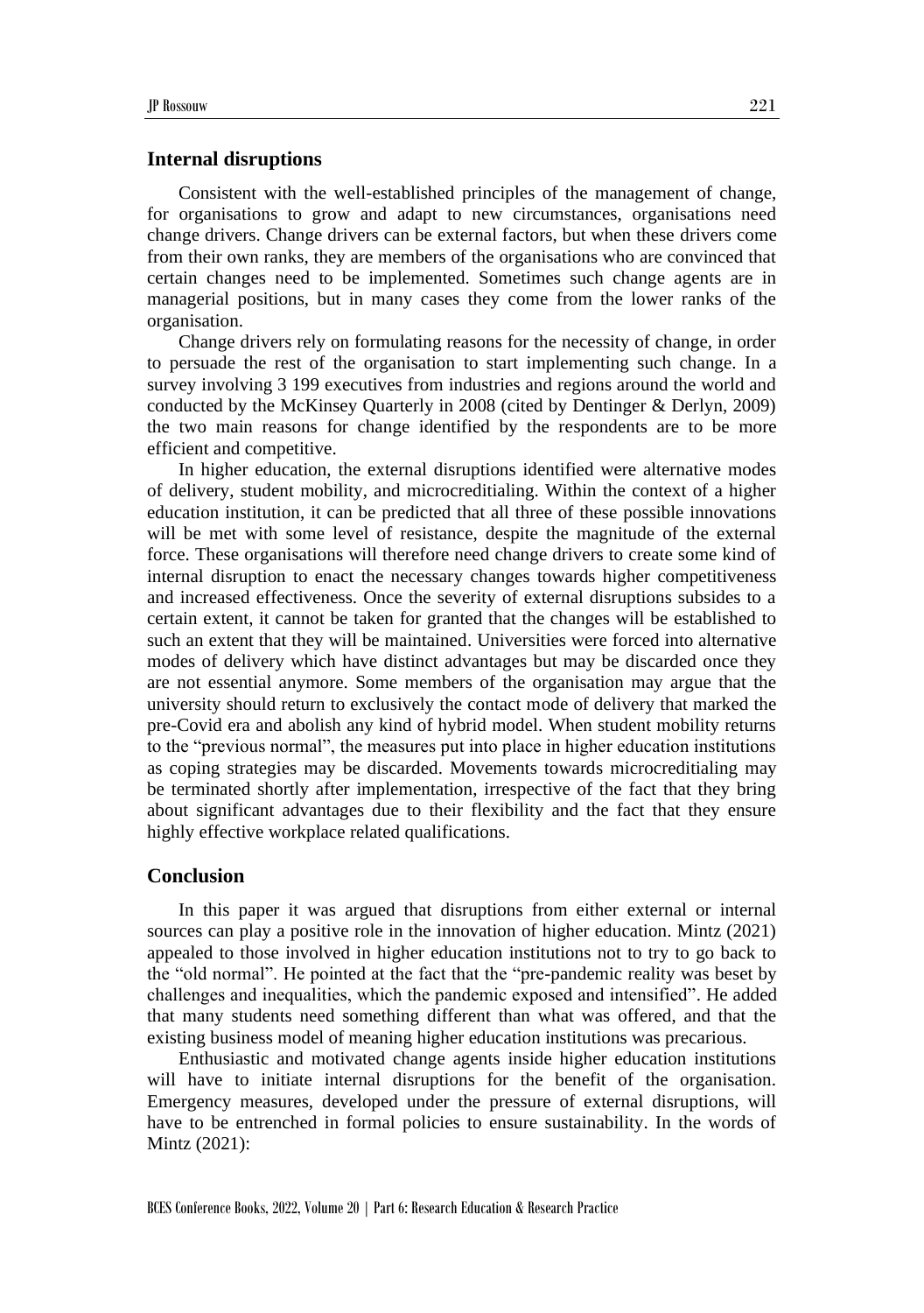#### **Internal disruptions**

Consistent with the well-established principles of the management of change, for organisations to grow and adapt to new circumstances, organisations need change drivers. Change drivers can be external factors, but when these drivers come from their own ranks, they are members of the organisations who are convinced that certain changes need to be implemented. Sometimes such change agents are in managerial positions, but in many cases they come from the lower ranks of the organisation.

Change drivers rely on formulating reasons for the necessity of change, in order to persuade the rest of the organisation to start implementing such change. In a survey involving 3 199 executives from industries and regions around the world and conducted by the McKinsey Quarterly in 2008 (cited by Dentinger & Derlyn, 2009) the two main reasons for change identified by the respondents are to be more efficient and competitive.

In higher education, the external disruptions identified were alternative modes of delivery, student mobility, and microcreditialing. Within the context of a higher education institution, it can be predicted that all three of these possible innovations will be met with some level of resistance, despite the magnitude of the external force. These organisations will therefore need change drivers to create some kind of internal disruption to enact the necessary changes towards higher competitiveness and increased effectiveness. Once the severity of external disruptions subsides to a certain extent, it cannot be taken for granted that the changes will be established to such an extent that they will be maintained. Universities were forced into alternative modes of delivery which have distinct advantages but may be discarded once they are not essential anymore. Some members of the organisation may argue that the university should return to exclusively the contact mode of delivery that marked the pre-Covid era and abolish any kind of hybrid model. When student mobility returns to the "previous normal", the measures put into place in higher education institutions as coping strategies may be discarded. Movements towards microcreditialing may be terminated shortly after implementation, irrespective of the fact that they bring about significant advantages due to their flexibility and the fact that they ensure highly effective workplace related qualifications.

## **Conclusion**

In this paper it was argued that disruptions from either external or internal sources can play a positive role in the innovation of higher education. Mintz (2021) appealed to those involved in higher education institutions not to try to go back to the "old normal". He pointed at the fact that the "pre-pandemic reality was beset by challenges and inequalities, which the pandemic exposed and intensified". He added that many students need something different than what was offered, and that the existing business model of meaning higher education institutions was precarious.

Enthusiastic and motivated change agents inside higher education institutions will have to initiate internal disruptions for the benefit of the organisation. Emergency measures, developed under the pressure of external disruptions, will have to be entrenched in formal policies to ensure sustainability. In the words of Mintz (2021):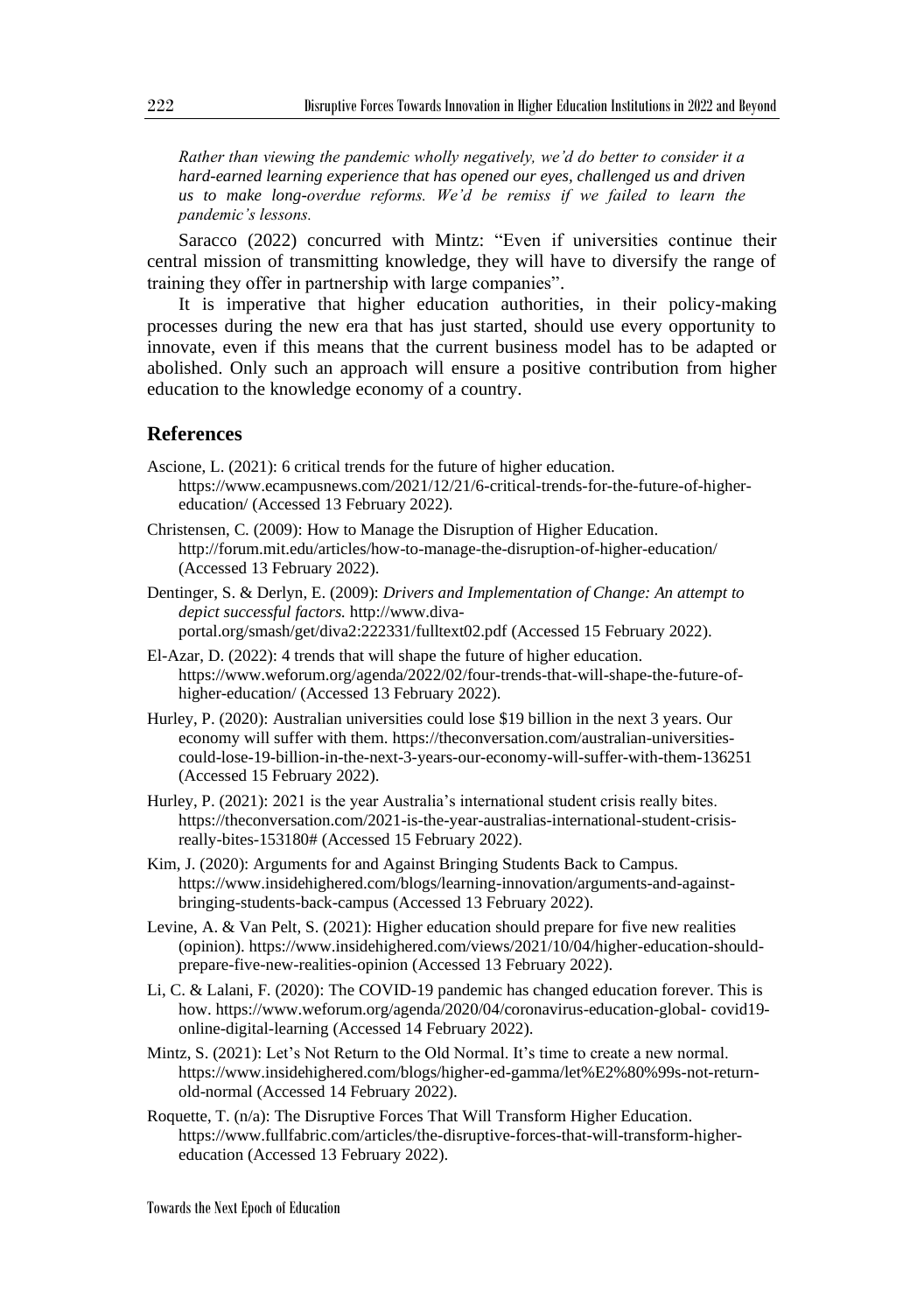*Rather than viewing the pandemic wholly negatively, we'd do better to consider it a hard-earned learning experience that has opened our eyes, challenged us and driven us to make long-overdue reforms. We'd be remiss if we failed to learn the pandemic's lessons.* 

Saracco (2022) concurred with Mintz: "Even if universities continue their central mission of transmitting knowledge, they will have to diversify the range of training they offer in partnership with large companies".

It is imperative that higher education authorities, in their policy-making processes during the new era that has just started, should use every opportunity to innovate, even if this means that the current business model has to be adapted or abolished. Only such an approach will ensure a positive contribution from higher education to the knowledge economy of a country.

## **References**

- Ascione, L. (2021): 6 critical trends for the future of higher education*.* https://www.ecampusnews.com/2021/12/21/6-critical-trends-for-the-future-of-highereducation/ (Accessed 13 February 2022).
- Christensen, C. (2009): How to Manage the Disruption of Higher Education. http://forum.mit.edu/articles/how-to-manage-the-disruption-of-higher-education/ (Accessed 13 February 2022).
- Dentinger, S. & Derlyn, E. (2009): *Drivers and Implementation of Change: An attempt to depict successful factors.* http://www.divaportal.org/smash/get/diva2:222331/fulltext02.pdf (Accessed 15 February 2022).
- El-Azar, D. (2022): 4 trends that will shape the future of higher education. https://www.weforum.org/agenda/2022/02/four-trends-that-will-shape-the-future-ofhigher-education/ (Accessed 13 February 2022).
- Hurley, P. (2020): Australian universities could lose \$19 billion in the next 3 years. Our economy will suffer with them. https://theconversation.com/australian-universitiescould-lose-19-billion-in-the-next-3-years-our-economy-will-suffer-with-them-136251 (Accessed 15 February 2022).
- Hurley, P. (2021): 2021 is the year Australia's international student crisis really bites. https://theconversation.com/2021-is-the-year-australias-international-student-crisisreally-bites-153180# (Accessed 15 February 2022).
- Kim, J. (2020): Arguments for and Against Bringing Students Back to Campus. https://www.insidehighered.com/blogs/learning-innovation/arguments-and-againstbringing-students-back-campus (Accessed 13 February 2022).
- Levine, A. & Van Pelt, S. (2021): Higher education should prepare for five new realities (opinion). https://www.insidehighered.com/views/2021/10/04/higher-education-shouldprepare-five-new-realities-opinion (Accessed 13 February 2022).
- Li, C. & Lalani, F. (2020): The COVID-19 pandemic has changed education forever. This is how. https://www.weforum.org/agenda/2020/04/coronavirus-education-global- covid19 online-digital-learning (Accessed 14 February 2022).
- Mintz, S. (2021): Let's Not Return to the Old Normal. It's time to create a new normal. https://www.insidehighered.com/blogs/higher-ed-gamma/let%E2%80%99s-not-returnold-normal (Accessed 14 February 2022).
- Roquette, T. (n/a): The Disruptive Forces That Will Transform Higher Education. https://www.fullfabric.com/articles/the-disruptive-forces-that-will-transform-highereducation (Accessed 13 February 2022).